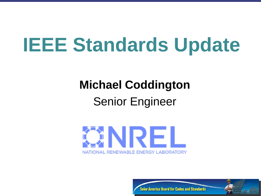# **IEEE Standards Update**

# **Michael Coddington**

#### Senior Engineer



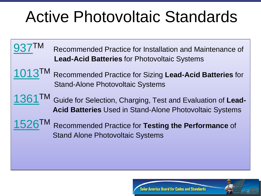## Active Photovoltaic Standards

- Recommended Practice for Installation and Maintenance of **Lead-Acid Batteries** for Photovoltaic Systems
- [1013](http://grouper.ieee.org/groups/scc21/pv/1013.html)TM Recommended Practice for Sizing **Lead-Acid Batteries** for Stand-Alone Photovoltaic Systems
- [1361](http://grouper.ieee.org/groups/scc21/pv/1361.html)TM Guide for Selection, Charging, Test and Evaluation of **Lead-Acid Batteries** Used in Stand-Alone Photovoltaic Systems
	- Recommended Practice for Testing the Performance of Stand Alone Photovoltaic Systems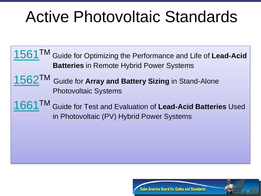## Active Photovoltaic Standards

- [1561](http://grouper.ieee.org/groups/scc21/pv/1561.html)TM Guide for Optimizing the Performance and Life of **Lead-Acid Batteries** in Remote Hybrid Power Systems
- [1562](http://grouper.ieee.org/groups/scc21/pv/1562.html)TM Guide for **Array and Battery Sizing** in Stand-Alone Photovoltaic Systems
- [1661](http://grouper.ieee.org/groups/scc21/pv/1661.html)TM Guide for Test and Evaluation of **Lead-Acid Batteries** Used in Photovoltaic (PV) Hybrid Power Systems

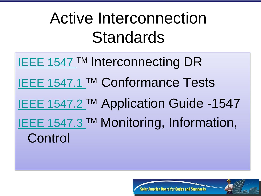## Active Interconnection Standards

**IEEE 1547 ™ Interconnecting DR [IEEE 1547.1](http://grouper.ieee.org/groups/scc21/pv/1526.html) ™ Conformance Tests [IEEE 1547.2](http://grouper.ieee.org/groups/scc21/pv/1526.html) ™ Application Guide -1547 [IEEE 1547.3](http://grouper.ieee.org/groups/scc21/pv/1526.html) ™ Monitoring, Information,** Control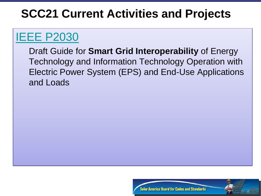### **[IEEE P2030](http://grouper.ieee.org/groups/scc21/pv/1526.html)**

Draft Guide for **Smart Grid Interoperability** of Energy Technology and Information Technology Operation with Electric Power System (EPS) and End-Use Applications and Loads

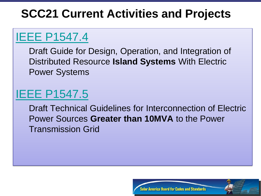## [IEEE P1547.4](http://grouper.ieee.org/groups/scc21/pv/1526.html)

Draft Guide for Design, Operation, and Integration of Distributed Resource **Island Systems** With Electric Power Systems

#### [IEEE P1547.5](http://grouper.ieee.org/groups/scc21/pv/1526.html)

Draft Technical Guidelines for Interconnection of Electric Power Sources **Greater than 10MVA** to the Power Transmission Grid

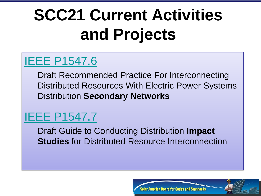#### [IEEE P1547.6](http://grouper.ieee.org/groups/scc21/pv/1526.html)

Draft Recommended Practice For Interconnecting Distributed Resources With Electric Power Systems Distribution **Secondary Networks**

### [IEEE P1547.7](http://grouper.ieee.org/groups/scc21/pv/1526.html)

Draft Guide to Conducting Distribution **Impact Studies** for Distributed Resource Interconnection

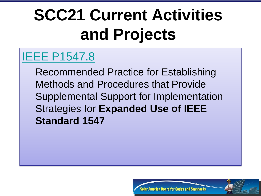#### [IEEE P1547.8](http://grouper.ieee.org/groups/scc21/pv/1526.html)

Recommended Practice for Establishing Methods and Procedures that Provide Supplemental Support for Implementation Strategies for **Expanded Use of IEEE Standard 1547**

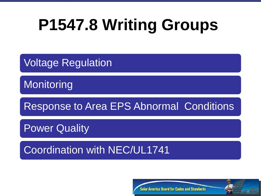## **P1547.8 Writing Groups**

Voltage Regulation

**Monitoring** 

Response to Area EPS Abnormal Conditions

Power Quality

Coordination with NEC/UL1741

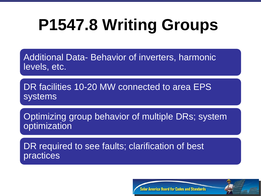# **P1547.8 Writing Groups**

Additional Data- Behavior of inverters, harmonic levels, etc.

DR facilities 10-20 MW connected to area EPS **systems** 

Optimizing group behavior of multiple DRs; system optimization

DR required to see faults; clarification of best practices